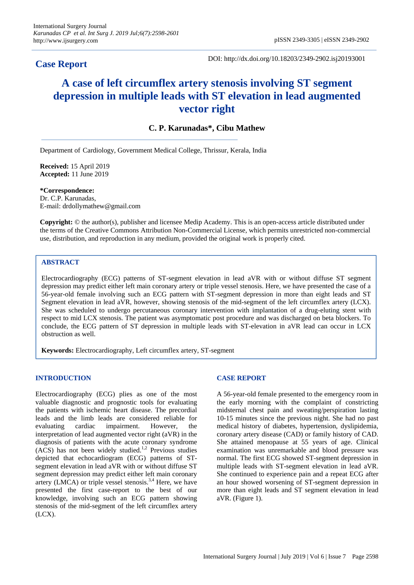## **Case Report**

DOI: http://dx.doi.org/10.18203/2349-2902.isj20193001

# **A case of left circumflex artery stenosis involving ST segment depression in multiple leads with ST elevation in lead augmented vector right**

## **C. P. Karunadas\*, Cibu Mathew**

Department of Cardiology, Government Medical College, Thrissur, Kerala, India

**Received:** 15 April 2019 **Accepted:** 11 June 2019

**\*Correspondence:** Dr. C.P. Karunadas, E-mail: drdollymathew@gmail.com

**Copyright:** © the author(s), publisher and licensee Medip Academy. This is an open-access article distributed under the terms of the Creative Commons Attribution Non-Commercial License, which permits unrestricted non-commercial use, distribution, and reproduction in any medium, provided the original work is properly cited.

### **ABSTRACT**

Electrocardiography (ECG) patterns of ST-segment elevation in lead aVR with or without diffuse ST segment depression may predict either left main coronary artery or triple vessel stenosis. Here, we have presented the case of a 56-year-old female involving such an ECG pattern with ST-segment depression in more than eight leads and ST Segment elevation in lead aVR, however, showing stenosis of the mid-segment of the left circumflex artery (LCX). She was scheduled to undergo percutaneous coronary intervention with implantation of a drug-eluting stent with respect to mid LCX stenosis. The patient was asymptomatic post procedure and was discharged on beta blockers. To conclude, the ECG pattern of ST depression in multiple leads with ST-elevation in aVR lead can occur in LCX obstruction as well.

**Keywords:** Electrocardiography, Left circumflex artery, ST-segment

#### **INTRODUCTION**

Electrocardiography (ECG) plies as one of the most valuable diagnostic and prognostic tools for evaluating the patients with ischemic heart disease. The precordial leads and the limb leads are considered reliable for evaluating cardiac impairment. However, the interpretation of lead augmented vector right (aVR) in the diagnosis of patients with the acute coronary syndrome  $(ACS)$  has not been widely studied.<sup>1,2</sup> Previous studies depicted that echocardiogram (ECG) patterns of STsegment elevation in lead aVR with or without diffuse ST segment depression may predict either left main coronary artery (LMCA) or triple vessel stenosis.<sup>3,4</sup> Here, we have presented the first case-report to the best of our knowledge, involving such an ECG pattern showing stenosis of the mid-segment of the left circumflex artery (LCX).

#### **CASE REPORT**

A 56-year-old female presented to the emergency room in the early morning with the complaint of constricting midsternal chest pain and sweating/perspiration lasting 10-15 minutes since the previous night. She had no past medical history of diabetes, hypertension, dyslipidemia, coronary artery disease (CAD) or family history of CAD. She attained menopause at 55 years of age. Clinical examination was unremarkable and blood pressure was normal. The first ECG showed ST-segment depression in multiple leads with ST-segment elevation in lead aVR. She continued to experience pain and a repeat ECG after an hour showed worsening of ST-segment depression in more than eight leads and ST segment elevation in lead aVR. (Figure 1).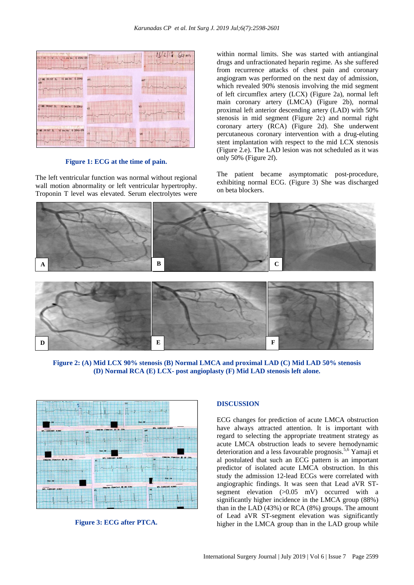

**Figure 1: ECG at the time of pain.**

The left ventricular function was normal without regional wall motion abnormality or left ventricular hypertrophy. Troponin T level was elevated. Serum electrolytes were within normal limits. She was started with antianginal drugs and unfractionated heparin regime. As she suffered from recurrence attacks of chest pain and coronary angiogram was performed on the next day of admission, which revealed 90% stenosis involving the mid segment of left circumflex artery (LCX) (Figure 2a), normal left main coronary artery (LMCA) (Figure 2b), normal proximal left anterior descending artery (LAD) with 50% stenosis in mid segment (Figure 2c) and normal right coronary artery (RCA) (Figure 2d). She underwent percutaneous coronary intervention with a drug-eluting stent implantation with respect to the mid LCX stenosis (Figure 2.e). The LAD lesion was not scheduled as it was only 50% (Figure 2f).

The patient became asymptomatic post-procedure, exhibiting normal ECG. (Figure 3) She was discharged on beta blockers.



**Figure 2: (A) Mid LCX 90% stenosis (B) Normal LMCA and proximal LAD (C) Mid LAD 50% stenosis (D) Normal RCA (E) LCX- post angioplasty (F) Mid LAD stenosis left alone.**



**Figure 3: ECG after PTCA.**

#### **DISCUSSION**

ECG changes for prediction of acute LMCA obstruction have always attracted attention. It is important with regard to selecting the appropriate treatment strategy as acute LMCA obstruction leads to severe hemodynamic deterioration and a less favourable prognosis. 5,6 Yamaji et al postulated that such an ECG pattern is an important predictor of isolated acute LMCA obstruction. In this study the admission 12-lead ECGs were correlated with angiographic findings. It was seen that Lead aVR STsegment elevation (>0.05 mV) occurred with a significantly higher incidence in the LMCA group (88%) than in the LAD (43%) or RCA (8%) groups. The amount of Lead aVR ST-segment elevation was significantly higher in the LMCA group than in the LAD group while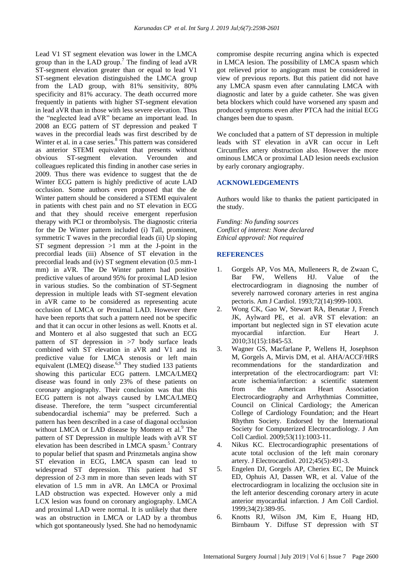Lead V1 ST segment elevation was lower in the LMCA group than in the LAD group. <sup>7</sup> The finding of lead aVR ST-segment elevation greater than or equal to lead V1 ST-segment elevation distinguished the LMCA group from the LAD group, with 81% sensitivity, 80% specificity and 81% accuracy. The death occurred more frequently in patients with higher ST-segment elevation in lead aVR than in those with less severe elevation. Thus the "neglected lead aVR" became an important lead. In 2008 an ECG pattern of ST depression and peaked T waves in the precordial leads was first described by de Winter et al. in a case series.<sup>8</sup> This pattern was considered as anterior STEMI equivalent that presents without obvious ST-segment elevation. Verounden and colleagues replicated this finding in another case series in 2009. Thus there was evidence to suggest that the de Winter ECG pattern is highly predictive of acute LAD occlusion. Some authors even proposed that the de Winter pattern should be considered a STEMI equivalent in patients with chest pain and no ST elevation in ECG and that they should receive emergent reperfusion therapy with PCI or thrombolysis. The diagnostic criteria for the De Winter pattern included (i) Tall, prominent, symmetric T waves in the precordial leads (ii) Up sloping ST segment depression  $>1$  mm at the J-point in the precordial leads (iii) Absence of ST elevation in the precordial leads and (iv) ST segment elevation (0.5 mm-1 mm) in aVR. The De Winter pattern had positive predictive values of around 95% for proximal LAD lesion in various studies. So the combination of ST-Segment depression in multiple leads with ST-segment elevation in aVR came to be considered as representing acute occlusion of LMCA or Proximal LAD. However there have been reports that such a pattern need not be specific and that it can occur in other lesions as well. Knotts et al. and Montero et al also suggested that such an ECG pattern of ST depression in >7 body surface leads combined with ST elevation in aVR and V1 and its predictive value for LMCA stenosis or left main equivalent (LMEQ) disease.<sup>6,9</sup> They studied 133 patients showing this particular ECG pattern. LMCA/LMEQ disease was found in only 23% of these patients on coronary angiography. Their conclusion was that this ECG pattern is not always caused by LMCA/LMEQ disease. Therefore, the term "suspect circumferential subendocardial ischemia" may be preferred. Such a pattern has been described in a case of diagonal occlusion without LMCA or LAD disease by Montero et al.<sup>9</sup> The pattern of ST Depression in multiple leads with aVR ST elevation has been described in LMCA spasm.<sup>5</sup> Contrary to popular belief that spasm and Prinzmetals angina show ST elevation in ECG, LMCA spasm can lead to widespread ST depression. This patient had ST depression of 2-3 mm in more than seven leads with ST elevation of 1.5 mm in aVR. An LMCA or Proximal LAD obstruction was expected. However only a mid LCX lesion was found on coronary angiography. LMCA and proximal LAD were normal. It is unlikely that there was an obstruction in LMCA or LAD by a thrombus which got spontaneously lysed. She had no hemodynamic compromise despite recurring angina which is expected in LMCA lesion. The possibility of LMCA spasm which got relieved prior to angiogram must be considered in view of previous reports. But this patient did not have any LMCA spasm even after cannulating LMCA with diagnostic and later by a guide catheter. She was given beta blockers which could have worsened any spasm and produced symptoms even after PTCA had the initial ECG changes been due to spasm.

We concluded that a pattern of ST depression in multiple leads with ST elevation in aVR can occur in Left Circumflex artery obstruction also. However the more ominous LMCA or proximal LAD lesion needs exclusion by early coronary angiography.

#### **ACKNOWLEDGEMENTS**

Authors would like to thanks the patient participated in the study.

*Funding: No funding sources Conflict of interest: None declared Ethical approval: Not required*

#### **REFERENCES**

- 1. Gorgels AP, Vos MA, Mulleneers R, de Zwaan C, Bar FW, Wellens HJ. Value of the electrocardiogram in diagnosing the number of severely narrowed coronary arteries in rest angina pectoris. Am J Cardiol. 1993;72(14):999-1003.
- 2. Wong CK, Gao W, Stewart RA, Benatar J, French JK, Aylward PE, et al. aVR ST elevation: an important but neglected sign in ST elevation acute myocardial infarction. Eur Heart J. 2010;31(15):1845-53.
- 3. Wagner GS, Macfarlane P, Wellens H, Josephson M, Gorgels A, Mirvis DM, et al. AHA/ACCF/HRS recommendations for the standardization and interpretation of the electrocardiogram: part VI: acute ischemia/infarction: a scientific statement from the American Heart Association Electrocardiography and Arrhythmias Committee, Council on Clinical Cardiology; the American College of Cardiology Foundation; and the Heart Rhythm Society. Endorsed by the International Society for Computerized Electrocardiology. J Am Coll Cardiol. 2009;53(11):1003-11.
- 4. Nikus KC. Electrocardiographic presentations of acute total occlusion of the left main coronary artery. J Electrocardiol. 2012;45(5):491-3.
- 5. Engelen DJ, Gorgels AP, Cheriex EC, De Muinck ED, Ophuis AJ, Dassen WR, et al. Value of the electrocardiogram in localizing the occlusion site in the left anterior descending coronary artery in acute anterior myocardial infarction. J Am Coll Cardiol. 1999;34(2):389-95.
- 6. Knotts RJ, Wilson JM, Kim E, Huang HD, Birnbaum Y. Diffuse ST depression with ST